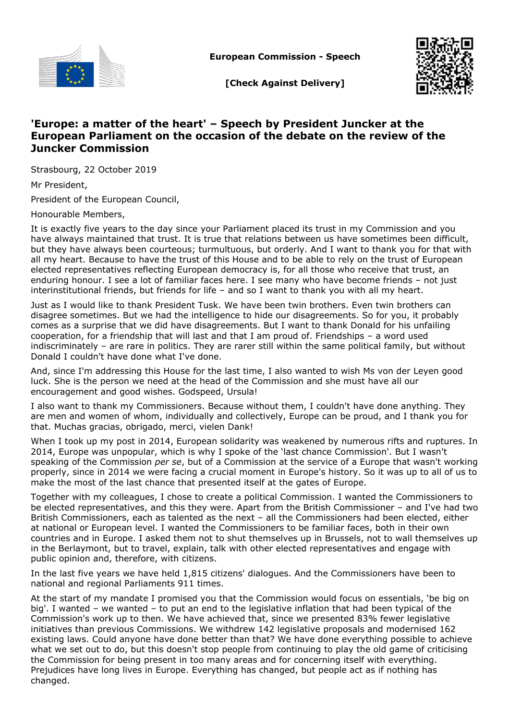

**European Commission - Speech**



**[Check Against Delivery]**

## **'Europe: a matter of the heart' – Speech by President Juncker at the European Parliament on the occasion of the debate on the review of the Juncker Commission**

Strasbourg, 22 October 2019

Mr President,

President of the European Council,

Honourable Members,

It is exactly five years to the day since your Parliament placed its trust in my Commission and you have always maintained that trust. It is true that relations between us have sometimes been difficult, but they have always been courteous; turmultuous, but orderly. And I want to thank you for that with all my heart. Because to have the trust of this House and to be able to rely on the trust of European elected representatives reflecting European democracy is, for all those who receive that trust, an enduring honour. I see a lot of familiar faces here. I see many who have become friends – not just interinstitutional friends, but friends for life – and so I want to thank you with all my heart.

Just as I would like to thank President Tusk. We have been twin brothers. Even twin brothers can disagree sometimes. But we had the intelligence to hide our disagreements. So for you, it probably comes as a surprise that we did have disagreements. But I want to thank Donald for his unfailing cooperation, for a friendship that will last and that I am proud of. Friendships – a word used indiscriminately – are rare in politics. They are rarer still within the same political family, but without Donald I couldn't have done what I've done.

And, since I'm addressing this House for the last time, I also wanted to wish Ms von der Leyen good luck. She is the person we need at the head of the Commission and she must have all our encouragement and good wishes. Godspeed, Ursula!

I also want to thank my Commissioners. Because without them, I couldn't have done anything. They are men and women of whom, individually and collectively, Europe can be proud, and I thank you for that. Muchas gracias, obrigado, merci, vielen Dank!

When I took up my post in 2014, European solidarity was weakened by numerous rifts and ruptures. In 2014, Europe was unpopular, which is why I spoke of the 'last chance Commission'. But I wasn't speaking of the Commission *per se*, but of a Commission at the service of a Europe that wasn't working properly, since in 2014 we were facing a crucial moment in Europe's history. So it was up to all of us to make the most of the last chance that presented itself at the gates of Europe.

Together with my colleagues, I chose to create a political Commission. I wanted the Commissioners to be elected representatives, and this they were. Apart from the British Commissioner – and I've had two British Commissioners, each as talented as the next – all the Commissioners had been elected, either at national or European level. I wanted the Commissioners to be familiar faces, both in their own countries and in Europe. I asked them not to shut themselves up in Brussels, not to wall themselves up in the Berlaymont, but to travel, explain, talk with other elected representatives and engage with public opinion and, therefore, with citizens.

In the last five years we have held 1,815 citizens' dialogues. And the Commissioners have been to national and regional Parliaments 911 times.

At the start of my mandate I promised you that the Commission would focus on essentials, 'be big on big'. I wanted – we wanted – to put an end to the legislative inflation that had been typical of the Commission's work up to then. We have achieved that, since we presented 83% fewer legislative initiatives than previous Commissions. We withdrew 142 legislative proposals and modernised 162 existing laws. Could anyone have done better than that? We have done everything possible to achieve what we set out to do, but this doesn't stop people from continuing to play the old game of criticising the Commission for being present in too many areas and for concerning itself with everything. Prejudices have long lives in Europe. Everything has changed, but people act as if nothing has changed.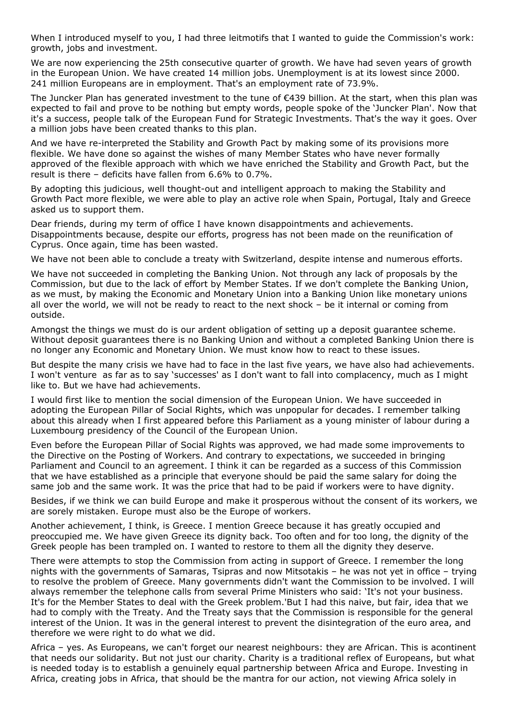When I introduced myself to you, I had three leitmotifs that I wanted to guide the Commission's work: growth, jobs and investment.

We are now experiencing the 25th consecutive quarter of growth. We have had seven years of growth in the European Union. We have created 14 million jobs. Unemployment is at its lowest since 2000. 241 million Europeans are in employment. That's an employment rate of 73.9%.

The Juncker Plan has generated investment to the tune of €439 billion. At the start, when this plan was expected to fail and prove to be nothing but empty words, people spoke of the 'Juncker Plan'. Now that it's a success, people talk of the European Fund for Strategic Investments. That's the way it goes. Over a million jobs have been created thanks to this plan.

And we have re-interpreted the Stability and Growth Pact by making some of its provisions more flexible. We have done so against the wishes of many Member States who have never formally approved of the flexible approach with which we have enriched the Stability and Growth Pact, but the result is there – deficits have fallen from 6.6% to 0.7%.

By adopting this judicious, well thought-out and intelligent approach to making the Stability and Growth Pact more flexible, we were able to play an active role when Spain, Portugal, Italy and Greece asked us to support them.

Dear friends, during my term of office I have known disappointments and achievements. Disappointments because, despite our efforts, progress has not been made on the reunification of Cyprus. Once again, time has been wasted.

We have not been able to conclude a treaty with Switzerland, despite intense and numerous efforts.

We have not succeeded in completing the Banking Union. Not through any lack of proposals by the Commission, but due to the lack of effort by Member States. If we don't complete the Banking Union, as we must, by making the Economic and Monetary Union into a Banking Union like monetary unions all over the world, we will not be ready to react to the next shock – be it internal or coming from outside.

Amongst the things we must do is our ardent obligation of setting up a deposit guarantee scheme. Without deposit guarantees there is no Banking Union and without a completed Banking Union there is no longer any Economic and Monetary Union. We must know how to react to these issues.

But despite the many crisis we have had to face in the last five years, we have also had achievements. I won't venture as far as to say 'successes' as I don't want to fall into complacency, much as I might like to. But we have had achievements.

I would first like to mention the social dimension of the European Union. We have succeeded in adopting the European Pillar of Social Rights, which was unpopular for decades. I remember talking about this already when I first appeared before this Parliament as a young minister of labour during a Luxembourg presidency of the Council of the European Union.

Even before the European Pillar of Social Rights was approved, we had made some improvements to the Directive on the Posting of Workers. And contrary to expectations, we succeeded in bringing Parliament and Council to an agreement. I think it can be regarded as a success of this Commission that we have established as a principle that everyone should be paid the same salary for doing the same job and the same work. It was the price that had to be paid if workers were to have dignity.

Besides, if we think we can build Europe and make it prosperous without the consent of its workers, we are sorely mistaken. Europe must also be the Europe of workers.

Another achievement, I think, is Greece. I mention Greece because it has greatly occupied and preoccupied me. We have given Greece its dignity back. Too often and for too long, the dignity of the Greek people has been trampled on. I wanted to restore to them all the dignity they deserve.

There were attempts to stop the Commission from acting in support of Greece. I remember the long nights with the governments of Samaras, Tsipras and now Mitsotakis – he was not yet in office – trying to resolve the problem of Greece. Many governments didn't want the Commission to be involved. I will always remember the telephone calls from several Prime Ministers who said: 'It's not your business. It's for the Member States to deal with the Greek problem.'But I had this naive, but fair, idea that we had to comply with the Treaty. And the Treaty says that the Commission is responsible for the general interest of the Union. It was in the general interest to prevent the disintegration of the euro area, and therefore we were right to do what we did.

Africa – yes. As Europeans, we can't forget our nearest neighbours: they are African. This is acontinent that needs our solidarity. But not just our charity. Charity is a traditional reflex of Europeans, but what is needed today is to establish a genuinely equal partnership between Africa and Europe. Investing in Africa, creating jobs in Africa, that should be the mantra for our action, not viewing Africa solely in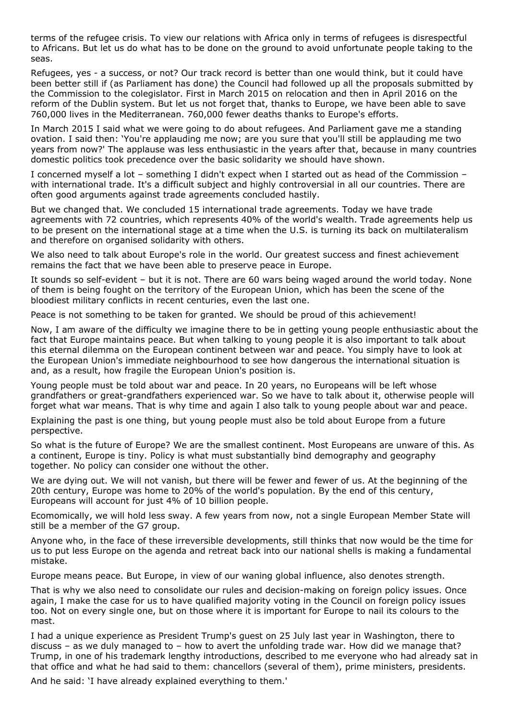terms of the refugee crisis. To view our relations with Africa only in terms of refugees is disrespectful to Africans. But let us do what has to be done on the ground to avoid unfortunate people taking to the seas.

Refugees, yes - a success, or not? Our track record is better than one would think, but it could have been better still if (as Parliament has done) the Council had followed up all the proposals submitted by the Commission to the colegislator. First in March 2015 on relocation and then in April 2016 on the reform of the Dublin system. But let us not forget that, thanks to Europe, we have been able to save 760,000 lives in the Mediterranean. 760,000 fewer deaths thanks to Europe's efforts.

In March 2015 I said what we were going to do about refugees. And Parliament gave me a standing ovation. I said then: 'You're applauding me now; are you sure that you'll still be applauding me two years from now?' The applause was less enthusiastic in the years after that, because in many countries domestic politics took precedence over the basic solidarity we should have shown.

I concerned myself a lot – something I didn't expect when I started out as head of the Commission – with international trade. It's a difficult subject and highly controversial in all our countries. There are often good arguments against trade agreements concluded hastily.

But we changed that. We concluded 15 international trade agreements. Today we have trade agreements with 72 countries, which represents 40% of the world's wealth. Trade agreements help us to be present on the international stage at a time when the U.S. is turning its back on multilateralism and therefore on organised solidarity with others.

We also need to talk about Europe's role in the world. Our greatest success and finest achievement remains the fact that we have been able to preserve peace in Europe.

It sounds so self-evident – but it is not. There are 60 wars being waged around the world today. None of them is being fought on the territory of the European Union, which has been the scene of the bloodiest military conflicts in recent centuries, even the last one.

Peace is not something to be taken for granted. We should be proud of this achievement!

Now, I am aware of the difficulty we imagine there to be in getting young people enthusiastic about the fact that Europe maintains peace. But when talking to young people it is also important to talk about this eternal dilemma on the European continent between war and peace. You simply have to look at the European Union's immediate neighbourhood to see how dangerous the international situation is and, as a result, how fragile the European Union's position is.

Young people must be told about war and peace. In 20 years, no Europeans will be left whose grandfathers or great-grandfathers experienced war. So we have to talk about it, otherwise people will forget what war means. That is why time and again I also talk to young people about war and peace.

Explaining the past is one thing, but young people must also be told about Europe from a future perspective.

So what is the future of Europe? We are the smallest continent. Most Europeans are unware of this. As a continent, Europe is tiny. Policy is what must substantially bind demography and geography together. No policy can consider one without the other.

We are dying out. We will not vanish, but there will be fewer and fewer of us. At the beginning of the 20th century, Europe was home to 20% of the world's population. By the end of this century, Europeans will account for just 4% of 10 billion people.

Ecomomically, we will hold less sway. A few years from now, not a single European Member State will still be a member of the G7 group.

Anyone who, in the face of these irreversible developments, still thinks that now would be the time for us to put less Europe on the agenda and retreat back into our national shells is making a fundamental mistake.

Europe means peace. But Europe, in view of our waning global influence, also denotes strength.

That is why we also need to consolidate our rules and decision-making on foreign policy issues. Once again, I make the case for us to have qualified majority voting in the Council on foreign policy issues too. Not on every single one, but on those where it is important for Europe to nail its colours to the mast.

I had a unique experience as President Trump's guest on 25 July last year in Washington, there to discuss – as we duly managed to – how to avert the unfolding trade war. How did we manage that? Trump, in one of his trademark lengthy introductions, described to me everyone who had already sat in that office and what he had said to them: chancellors (several of them), prime ministers, presidents.

And he said: 'I have already explained everything to them.'